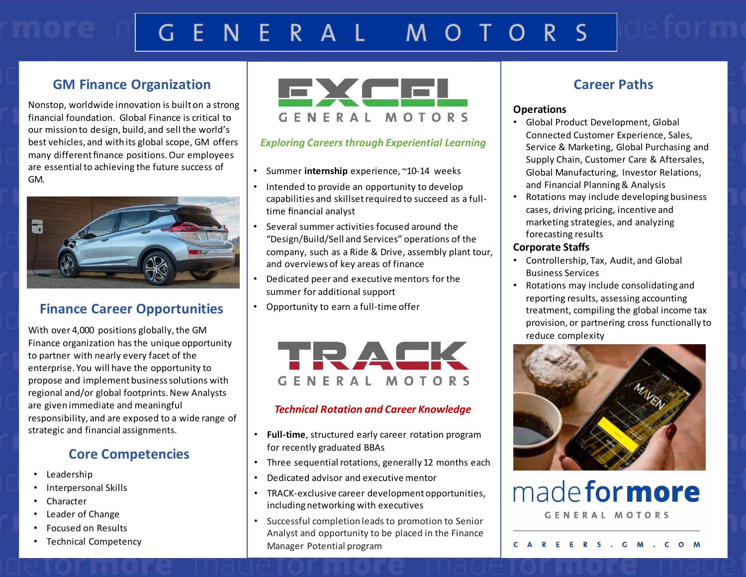# GENERAL MOTORS

## **GM Finance Organization**

Nonstop, worldwide innovation is built on a strong financial foundation. Global Finance is critical to our mission to design, build, and sell the world's best vehicles, and with its global scope, GM offers many different finance positions. Our employees are essential to achieving the future success of GM.



## **Finance Career Opportunities**

With over 4,000 positions globally, the GM Finance organization has the unique opportunity to partner with nearly every facet of the enterprise. You will have the opportunity to propose and implement business solutions with regional and/or global footprints. New Analysts are given immediate and meaningful responsibility, and are exposed to a wide range of

## **Core Competencies**

- Leadership
- Interpersonal Skills
- **Character**
- Leader of Change
- Focused on Results
- Technical Competency



## *Exploring Careers through Experiential Learning*

- Summer **internship** experience, ~10-14 weeks
- Intended to provide an opportunity to develop capabilities and skillset required to succeed as a fulltime financial analyst
- Several summer activities focused around the "Design/Build/Sell and Services" operations of the company, such as a Ride & Drive, assembly plant tour, and overviews of key areas of finance
- Dedicated peer and executive mentors for the summer for additional support
- Opportunity to earn a full-time offer



## *Technical Rotation and Career Knowledge*

- strategic and financial assignments. **Full-time**, structured early career rotation program for recently graduated BBAs
	- Three sequential rotations, generally 12 months each
	- Dedicated advisor and executive mentor
	- TRACK-exclusive career development opportunities, including networking with executives
	- Successful completion leads to promotion to Senior Analyst and opportunity to be placed in the Finance Manager Potential program

## **Career Paths**

## **Operations**

- Global Product Development, Global Connected Customer Experience, Sales, Service & Marketing, Global Purchasing and Supply Chain, Customer Care & Aftersales, Global Manufacturing, Investor Relations, and Financial Planning & Analysis
- Rotations may include developing business cases, driving pricing, incentive and marketing strategies, and analyzing forecasting results

## **Corporate Staffs**

- Controllership, Tax, Audit, and Global Business Services
- Rotations may include consolidating and reporting results, assessing accounting treatment, compiling the global income tax provision, or partnering cross functionally to reduce complexity



## made for more **GENERAL MOTORS**